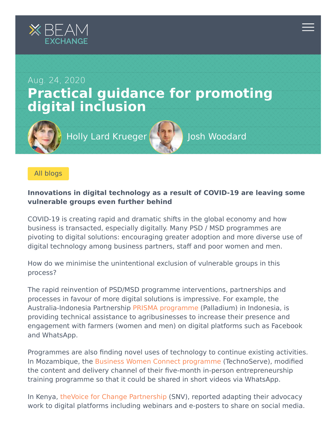

[All blogs](https://beamexchange.org/community/blogs/)

## **Innovations in digital technology as a result of COVID-19 are leaving some vulnerable groups even further behind**

COVID-19 is creating rapid and dramatic shifts in the global economy and how business is transacted, especially digitally. Many PSD / MSD programmes are pivoting to digital solutions: encouraging greater adoption and more diverse use of digital technology among business partners, staff and poor women and men.

How do we minimise the unintentional exclusion of vulnerable groups in this process?

The rapid reinvention of PSD/MSD programme interventions, partnerships and processes in favour of more digital solutions is impressive. For example, the Australia-Indonesia Partnership [PRISMA programme](https://aip-prisma.or.id/en/news/marcommsforum) (Palladium) in Indonesia, is providing technical assistance to agribusinesses to increase their presence and engagement with farmers (women and men) on digital platforms such as Facebook and WhatsApp.

Programmes are also finding novel uses of technology to continue existing activities. In Mozambique, the [Business Women Connect programme](https://www.technoserve.org/blog/side-by-side-supporting-women-owned-businesses-in-mozambique/) (TechnoServe), modified the content and delivery channel of their five-month in-person entrepreneurship training programme so that it could be shared in short videos via WhatsApp.

In Kenya, [theVoice for Change Partnership](https://snv.org/update/digital-advocacy-approach-food-safety-face-covid-19-kenya) (SNV), reported adapting their advocacy work to digital platforms including webinars and e-posters to share on social media.